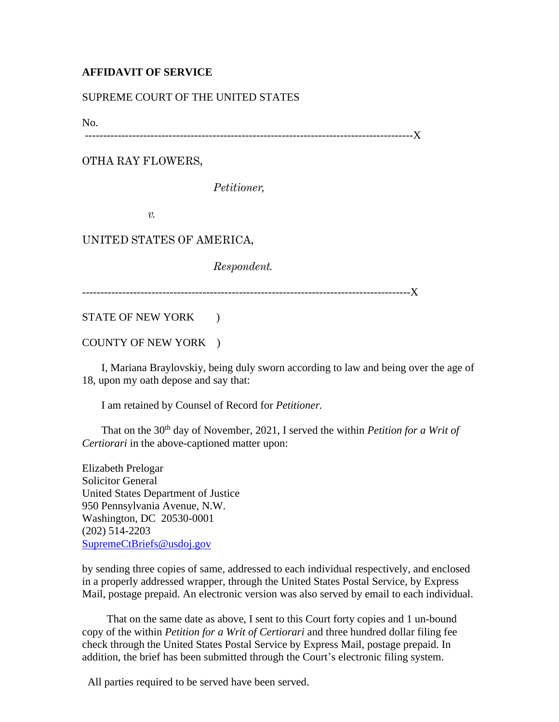## **AFFIDAVIT OF SERVICE**

## SUPREME COURT OF THE UNITED STATES

No.

------------------------------------------------------------------------------------------X

OTHA RAY FLOWERS,

*Petitioner,*

*v.*

## UNITED STATES OF AMERICA,

*Respondent.*

------------------------------------------------------------------------------------------X

STATE OF NEW YORK )

COUNTY OF NEW YORK )

 I, Mariana Braylovskiy, being duly sworn according to law and being over the age of 18, upon my oath depose and say that:

I am retained by Counsel of Record for *Petitioner.*

That on the 30<sup>th</sup> day of November, 2021, I served the within *Petition for a Writ of Certiorari* in the above-captioned matter upon:

Elizabeth Prelogar Solicitor General United States Department of Justice 950 Pennsylvania Avenue, N.W. Washington, DC 20530-0001 (202) 514-2203 [SupremeCtBriefs@usdoj.gov](mailto:SupremeCtBriefs@usdoj.gov)

by sending three copies of same, addressed to each individual respectively, and enclosed in a properly addressed wrapper, through the United States Postal Service, by Express Mail, postage prepaid. An electronic version was also served by email to each individual.

 That on the same date as above, I sent to this Court forty copies and 1 un-bound copy of the within *Petition for a Writ of Certiorari* and three hundred dollar filing fee check through the United States Postal Service by Express Mail, postage prepaid. In addition, the brief has been submitted through the Court's electronic filing system.

All parties required to be served have been served.